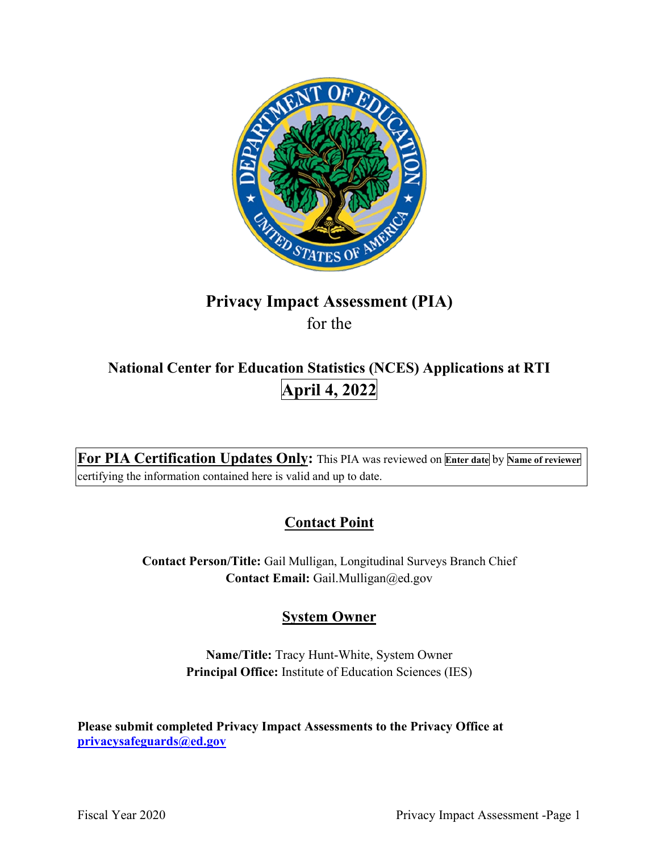

# **Privacy Impact Assessment (PIA)**  for the

# **National Center for Education Statistics (NCES) Applications at RTI April 4, 2022**

 **For PIA Certification Updates Only:** This PIA was reviewed on **Enter date** by **Name of reviewer**  certifying the information contained here is valid and up to date.

# **Contact Point**

 **Contact Person/Title:** Gail Mulligan, Longitudinal Surveys Branch Chief **Contact Email:** [Gail.Mulligan@ed.gov](mailto:Gail.Mulligan@ed.gov)

# **System Owner**

 **Name/Title:** Tracy Hunt-White, System Owner **Principal Office:** Institute of Education Sciences (IES)

 **[privacysafeguards@ed.gov](mailto:privacysafeguards@ed.gov) Please submit completed Privacy Impact Assessments to the Privacy Office at**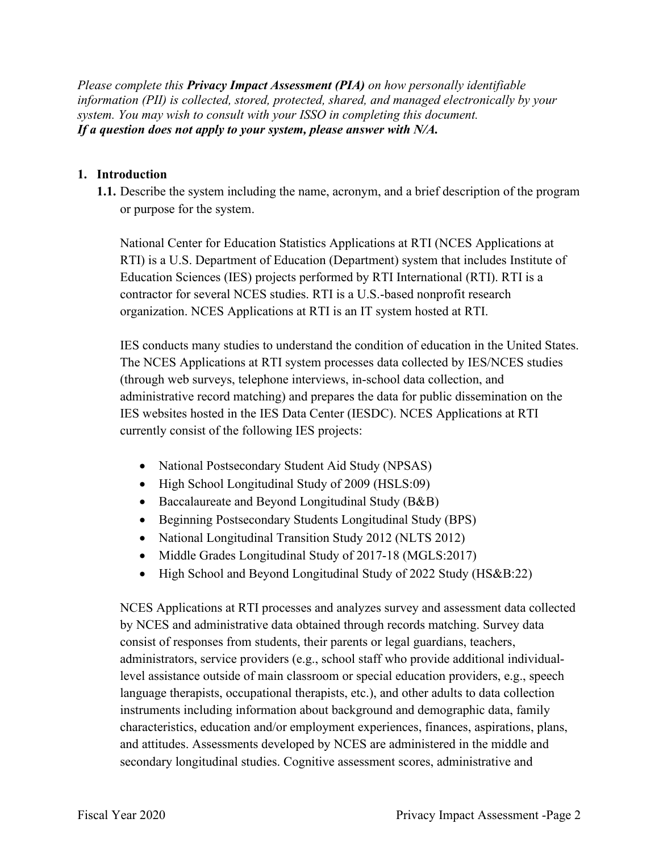*Please complete this Privacy Impact Assessment (PIA) on how personally identifiable information (PII) is collected, stored, protected, shared, and managed electronically by your system. You may wish to consult with your ISSO in completing this document. If a question does not apply to your system, please answer with N/A.* 

# **1. Introduction**

 **1.1.** Describe the system including the name, acronym, and a brief description of the program or purpose for the system.

 RTI) is a U.S. Department of Education (Department) system that includes Institute of National Center for Education Statistics Applications at RTI (NCES Applications at Education Sciences (IES) projects performed by RTI International (RTI). RTI is a contractor for several NCES studies. RTI is a U.S.-based nonprofit research organization. NCES Applications at RTI is an IT system hosted at RTI.

 The NCES Applications at RTI system processes data collected by IES/NCES studies IES conducts many studies to understand the condition of education in the United States. (through web surveys, telephone interviews, in-school data collection, and administrative record matching) and prepares the data for public dissemination on the IES websites hosted in the IES Data Center (IESDC). NCES Applications at RTI currently consist of the following IES projects:

- National Postsecondary Student Aid Study (NPSAS)
- High School Longitudinal Study of 2009 (HSLS:09)
- Baccalaureate and Beyond Longitudinal Study (B&B)
- Beginning Postsecondary Students Longitudinal Study (BPS)
- National Longitudinal Transition Study 2012 (NLTS 2012)
- Middle Grades Longitudinal Study of 2017-18 (MGLS:2017)
- High School and Beyond Longitudinal Study of 2022 Study (HS&B:22)

NCES Applications at RTI processes and analyzes survey and assessment data collected by NCES and administrative data obtained through records matching. Survey data consist of responses from students, their parents or legal guardians, teachers, administrators, service providers (e.g., school staff who provide additional individuallevel assistance outside of main classroom or special education providers, e.g., speech language therapists, occupational therapists, etc.), and other adults to data collection instruments including information about background and demographic data, family characteristics, education and/or employment experiences, finances, aspirations, plans, and attitudes. Assessments developed by NCES are administered in the middle and secondary longitudinal studies. Cognitive assessment scores, administrative and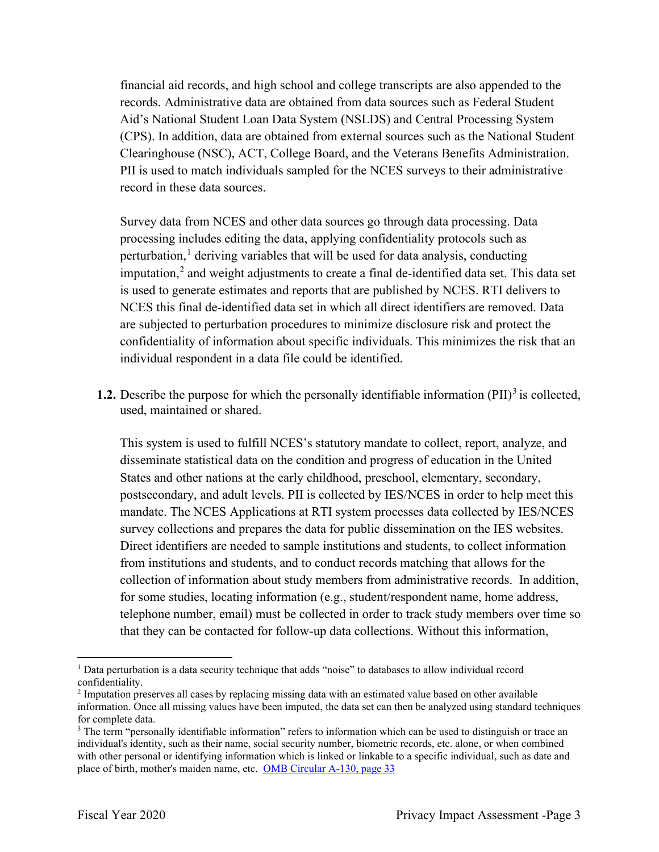financial aid records, and high school and college transcripts are also appended to the records. Administrative data are obtained from data sources such as Federal Student Aid's National Student Loan Data System (NSLDS) and Central Processing System (CPS). In addition, data are obtained from external sources such as the National Student Clearinghouse (NSC), ACT, College Board, and the Veterans Benefits Administration. PII is used to match individuals sampled for the NCES surveys to their administrative record in these data sources.

 individual respondent in a data file could be identified. Survey data from NCES and other data sources go through data processing. Data processing includes editing the data, applying confidentiality protocols such as perturbation, $<sup>1</sup>$  deriving variables that will be used for data analysis, conducting</sup> imputation, 2 and weight adjustments to create a final de-identified data set. This data set is used to generate estimates and reports that are published by NCES. RTI delivers to NCES this final de-identified data set in which all direct identifiers are removed. Data are subjected to perturbation procedures to minimize disclosure risk and protect the confidentiality of information about specific individuals. This minimizes the risk that an

**1.2.** Describe the purpose for which the personally identifiable information (PII)<sup>3</sup> is collected, used, maintained or shared.

 collection of information about study members from administrative records. In addition, This system is used to fulfill NCES's statutory mandate to collect, report, analyze, and disseminate statistical data on the condition and progress of education in the United States and other nations at the early childhood, preschool, elementary, secondary, postsecondary, and adult levels. PII is collected by IES/NCES in order to help meet this mandate. The NCES Applications at RTI system processes data collected by IES/NCES survey collections and prepares the data for public dissemination on the IES websites. Direct identifiers are needed to sample institutions and students, to collect information from institutions and students, and to conduct records matching that allows for the for some studies, locating information (e.g., student/respondent name, home address, telephone number, email) must be collected in order to track study members over time so that they can be contacted for follow-up data collections. Without this information,

 $<sup>1</sup>$  Data perturbation is a data security technique that adds "noise" to databases to allow individual record</sup> confidentiality.

<sup>2</sup> Imputation preserves all cases by replacing missing data with an estimated value based on other available information. Once all missing values have been imputed, the data set can then be analyzed using standard techniques for complete data.

place of birth, mother's maiden name, etc. OMB Circular A-130, page 33 <sup>3</sup> The term "personally identifiable information" refers to information which can be used to distinguish or trace an individual's identity, such as their name, social security number, biometric records, etc. alone, or when combined with other personal or identifying information which is linked or linkable to a specific individual, such as date and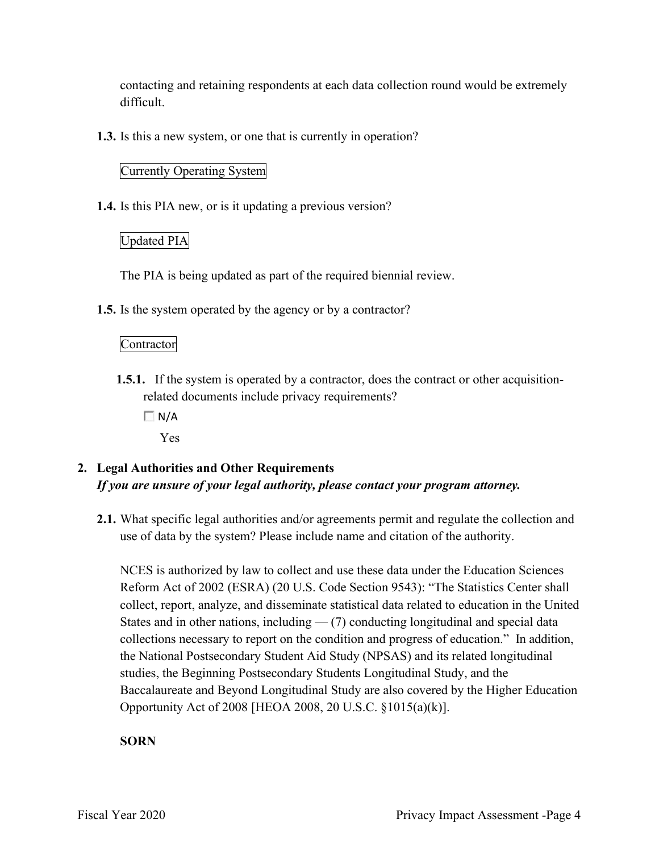contacting and retaining respondents at each data collection round would be extremely difficult.

**1.3.** Is this a new system, or one that is currently in operation?

# Currently Operating System

**1.4.** Is this PIA new, or is it updating a previous version?

# Updated PIA

The PIA is being updated as part of the required biennial review.

**1.5.** Is the system operated by the agency or by a contractor?

# Contractor

- **1.5.1.** If the system is operated by a contractor, does the contract or other acquisitionrelated documents include privacy requirements?
	- $\Box N/A$

Yes

# **2. Legal Authorities and Other Requirements**  *If you are unsure of your legal authority, please contact your program attorney.*

**2.1.** What specific legal authorities and/or agreements permit and regulate the collection and use of data by the system? Please include name and citation of the authority.

 Reform Act of 2002 (ESRA) (20 U.S. Code Section 9543): "The Statistics Center shall collections necessary to report on the condition and progress of education." In addition, the National Postsecondary Student Aid Study (NPSAS) and its related longitudinal Baccalaureate and Beyond Longitudinal Study are also covered by the Higher Education Opportunity Act of 2008 [HEOA 2008, 20 U.S.C. §1015(a)(k)]. NCES is authorized by law to collect and use these data under the Education Sciences collect, report, analyze, and disseminate statistical data related to education in the United States and in other nations, including  $-$  (7) conducting longitudinal and special data studies, the Beginning Postsecondary Students Longitudinal Study, and the

# **SORN**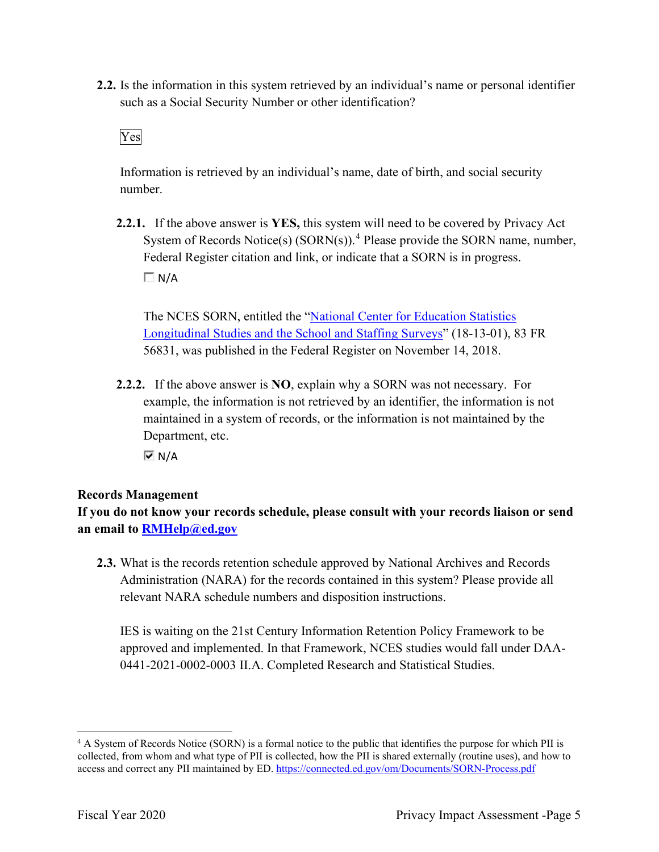such as a Social Security Number or other identification?<br>Ves **2.2.** Is the information in this system retrieved by an individual's name or personal identifier

Information is retrieved by an individual's name, date of birth, and social security number.

 Federal Register citation and link, or indicate that a SORN is in progress. **2.2.1.** If the above answer is **YES,** this system will need to be covered by Privacy Act System of Records Notice(s)  $(SORN(s))$ .<sup>4</sup> Please provide the SORN name, number,  $\Box$  N/A

 56831, was published in the Federal Register on November 14, 2018. The NCES SORN, entitled the "National Center for Education Statistics Longitudinal Studies and the School and Staffing Surveys" (18-13-01), 83 FR

 **2.2.2.** If the above answer is **NO**, explain why a SORN was not necessary. For Department, etc. example, the information is not retrieved by an identifier, the information is not maintained in a system of records, or the information is not maintained by the

 $\overline{M}$  N/A

# **Records Management**

**If you do not know your records schedule, please consult with your records liaison or send an email to [RMHelp@ed.gov](mailto:RMHelp@ed.gov)** 

 **2.3.** What is the records retention schedule approved by National Archives and Records Administration (NARA) for the records contained in this system? Please provide all relevant NARA schedule numbers and disposition instructions.

IES is waiting on the 21st Century Information Retention Policy Framework to be approved and implemented. In that Framework, NCES studies would fall under DAA-0441-2021-0002-0003 II.A. Completed Research and Statistical Studies.

access and correct any PII maintained by ED. https://connected.ed.gov/om/Documents/SORN-Process.pdf<br>Fiscal Year 2020 Privacy Impact Assessment -Page 5 <sup>4</sup> A System of Records Notice (SORN) is a formal notice to the public that identifies the purpose for which PII is collected, from whom and what type of PII is collected, how the PII is shared externally (routine uses), and how to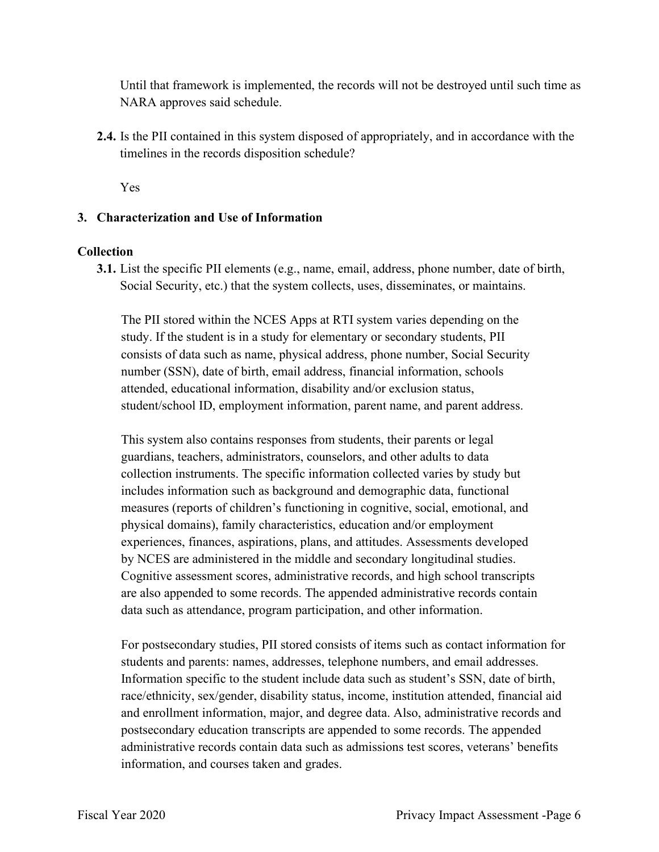Until that framework is implemented, the records will not be destroyed until such time as NARA approves said schedule.

**2.4.** Is the PII contained in this system disposed of appropriately, and in accordance with the timelines in the records disposition schedule?

Yes

### **3. Characterization and Use of Information**

### **Collection**

**3.1.** List the specific PII elements (e.g., name, email, address, phone number, date of birth, Social Security, etc.) that the system collects, uses, disseminates, or maintains.

The PII stored within the NCES Apps at RTI system varies depending on the study. If the student is in a study for elementary or secondary students, PII consists of data such as name, physical address, phone number, Social Security number (SSN), date of birth, email address, financial information, schools attended, educational information, disability and/or exclusion status, student/school ID, employment information, parent name, and parent address.

This system also contains responses from students, their parents or legal guardians, teachers, administrators, counselors, and other adults to data collection instruments. The specific information collected varies by study but includes information such as background and demographic data, functional measures (reports of children's functioning in cognitive, social, emotional, and physical domains), family characteristics, education and/or employment experiences, finances, aspirations, plans, and attitudes. Assessments developed by NCES are administered in the middle and secondary longitudinal studies. Cognitive assessment scores, administrative records, and high school transcripts are also appended to some records. The appended administrative records contain data such as attendance, program participation, and other information.

For postsecondary studies, PII stored consists of items such as contact information for students and parents: names, addresses, telephone numbers, and email addresses. Information specific to the student include data such as student's SSN, date of birth, race/ethnicity, sex/gender, disability status, income, institution attended, financial aid and enrollment information, major, and degree data. Also, administrative records and postsecondary education transcripts are appended to some records. The appended administrative records contain data such as admissions test scores, veterans' benefits information, and courses taken and grades.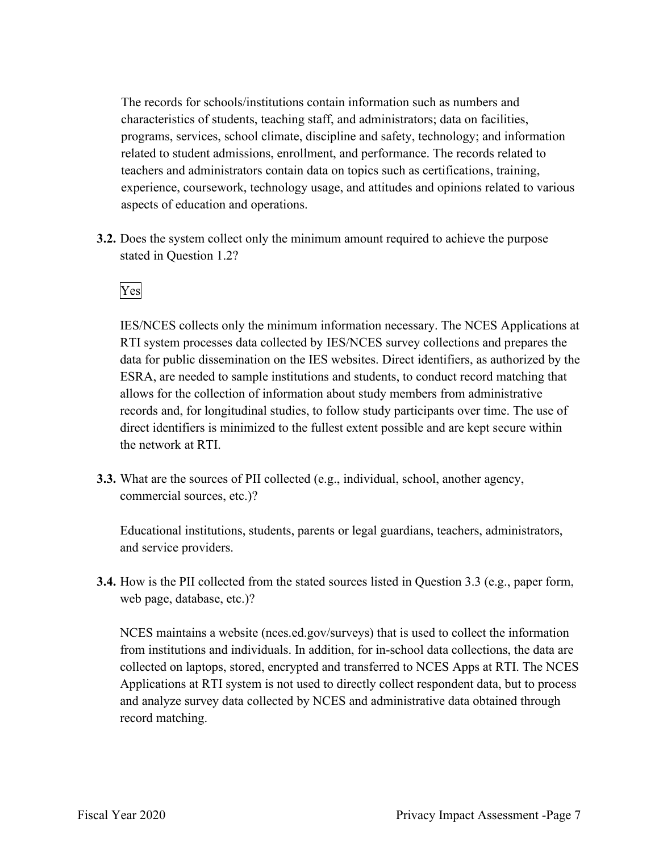The records for schools/institutions contain information such as numbers and characteristics of students, teaching staff, and administrators; data on facilities, programs, services, school climate, discipline and safety, technology; and information related to student admissions, enrollment, and performance. The records related to teachers and administrators contain data on topics such as certifications, training, experience, coursework, technology usage, and attitudes and opinions related to various aspects of education and operations.

stated in Question 1.2?<br>Yes **3.2.** Does the system collect only the minimum amount required to achieve the purpose

IES/NCES collects only the minimum information necessary. The NCES Applications at RTI system processes data collected by IES/NCES survey collections and prepares the data for public dissemination on the IES websites. Direct identifiers, as authorized by the ESRA, are needed to sample institutions and students, to conduct record matching that allows for the collection of information about study members from administrative records and, for longitudinal studies, to follow study participants over time. The use of direct identifiers is minimized to the fullest extent possible and are kept secure within the network at RTI.

**3.3.** What are the sources of PII collected (e.g., individual, school, another agency, commercial sources, etc.)?

Educational institutions, students, parents or legal guardians, teachers, administrators, and service providers.

 **3.4.** How is the PII collected from the stated sources listed in Question 3.3 (e.g., paper form, web page, database, etc.)?

NCES maintains a website ([nces.ed.gov/surveys](https://nces.ed.gov/surveys)) that is used to collect the information from institutions and individuals. In addition, for in-school data collections, the data are collected on laptops, stored, encrypted and transferred to NCES Apps at RTI. The NCES Applications at RTI system is not used to directly collect respondent data, but to process and analyze survey data collected by NCES and administrative data obtained through record matching.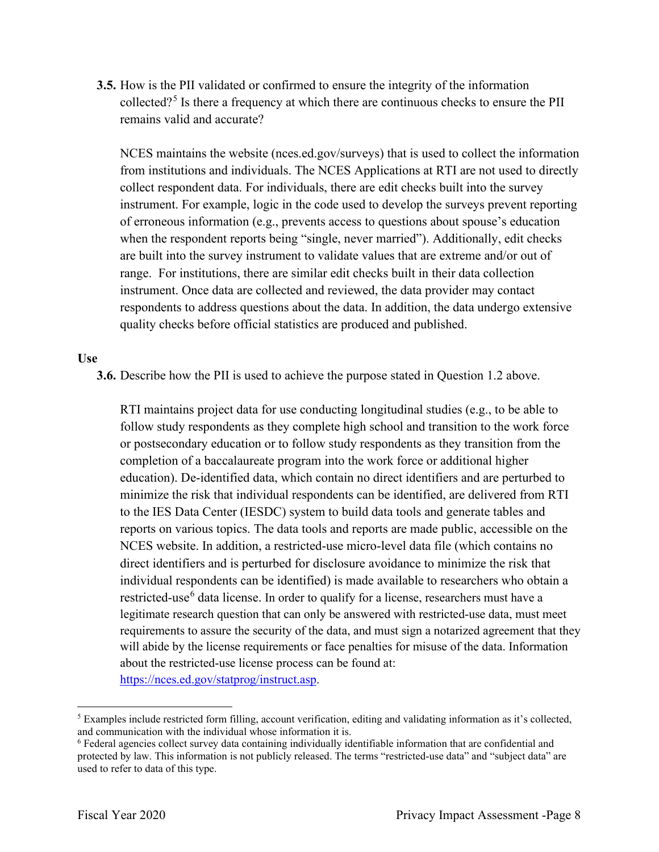**3.5.** How is the PII validated or confirmed to ensure the integrity of the information collected?5 Is there a frequency at which there are continuous checks to ensure the PII remains valid and accurate?

 are built into the survey instrument to validate values that are extreme and/or out of range. For institutions, there are similar edit checks built in their data collection NCES maintains the website [\(nces.ed.gov/surveys\)](https://nces.ed.gov/surveys) that is used to collect the information from institutions and individuals. The NCES Applications at RTI are not used to directly collect respondent data. For individuals, there are edit checks built into the survey instrument. For example, logic in the code used to develop the surveys prevent reporting of erroneous information (e.g., prevents access to questions about spouse's education when the respondent reports being "single, never married"). Additionally, edit checks instrument. Once data are collected and reviewed, the data provider may contact respondents to address questions about the data. In addition, the data undergo extensive quality checks before official statistics are produced and published.

#### **Use**

**3.6.** Describe how the PII is used to achieve the purpose stated in Question 1.2 above.

 follow study respondents as they complete high school and transition to the work force restricted-use<sup>6</sup> data license. In order to qualify for a license, researchers must have a RTI maintains project data for use conducting longitudinal studies (e.g., to be able to or postsecondary education or to follow study respondents as they transition from the completion of a baccalaureate program into the work force or additional higher education). De-identified data, which contain no direct identifiers and are perturbed to minimize the risk that individual respondents can be identified, are delivered from RTI to the IES Data Center (IESDC) system to build data tools and generate tables and reports on various topics. The data tools and reports are made public, accessible on the NCES website. In addition, a restricted-use micro-level data file (which contains no direct identifiers and is perturbed for disclosure avoidance to minimize the risk that individual respondents can be identified) is made available to researchers who obtain a legitimate research question that can only be answered with restricted-use data, must meet requirements to assure the security of the data, and must sign a notarized agreement that they will abide by the license requirements or face penalties for misuse of the data. Information about the restricted-use license process can be found at: <https://nces.ed.gov/statprog/instruct.asp>.

and communication with the individual whose information it is. 5 Examples include restricted form filling, account verification, editing and validating information as it's collected,

 protected by law. This information is not publicly released. The terms "restricted-use data" and "subject data" are  $6$  Federal agencies collect survey data containing individually identifiable information that are confidential and used to refer to data of this type.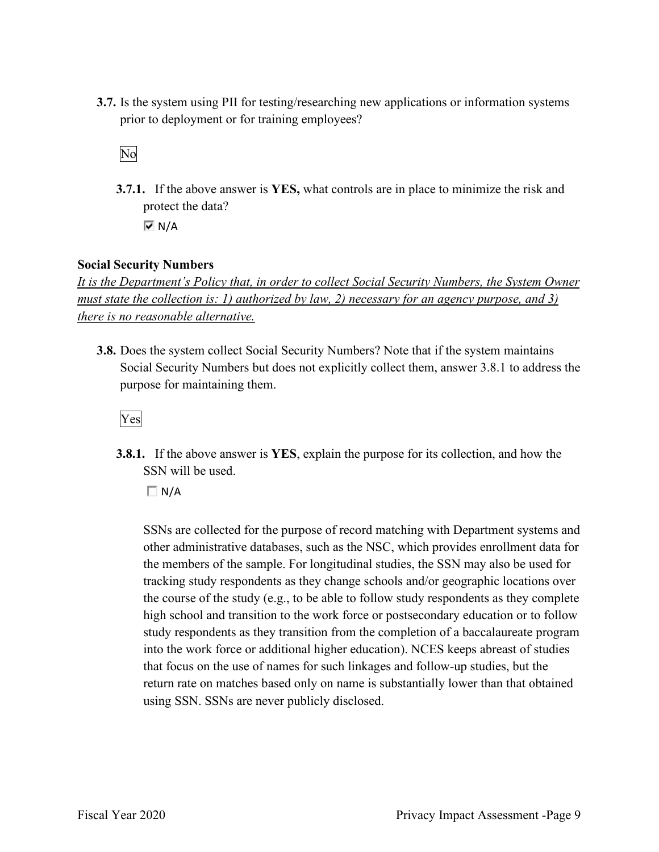**3.7.** Is the system using PII for testing/researching new applications or information systems prior to deployment or for training employees?<br>No

**3.7.1.** If the above answer is **YES,** what controls are in place to minimize the risk and protect the data?  $\overline{M}$  N/A

**Social Security Numbers** 

*It is the Department's Policy that, in order to collect Social Security Numbers, the System Owner must state the collection is: 1) authorized by law, 2) necessary for an agency purpose, and 3) there is no reasonable alternative.* 

 **3.8.** Does the system collect Social Security Numbers? Note that if the system maintains Social Security Numbers but does not explicitly collect them, answer 3.8.1 to address the purpose for maintaining them.

Yes

**3.8.1.** If the above answer is **YES**, explain the purpose for its collection, and how the SSN will be used.

 $\Box$  N/A

 SSNs are collected for the purpose of record matching with Department systems and the members of the sample. For longitudinal studies, the SSN may also be used for high school and transition to the work force or postsecondary education or to follow other administrative databases, such as the NSC, which provides enrollment data for tracking study respondents as they change schools and/or geographic locations over the course of the study (e.g., to be able to follow study respondents as they complete study respondents as they transition from the completion of a baccalaureate program into the work force or additional higher education). NCES keeps abreast of studies that focus on the use of names for such linkages and follow-up studies, but the return rate on matches based only on name is substantially lower than that obtained using SSN. SSNs are never publicly disclosed.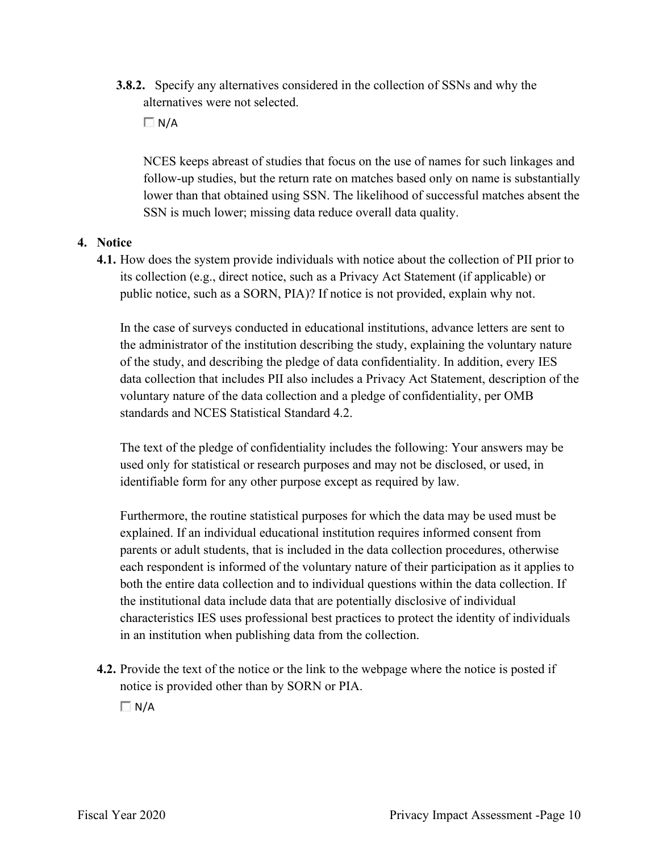**3.8.2.** Specify any alternatives considered in the collection of SSNs and why the alternatives were not selected.

 $\Box N/A$ 

 lower than that obtained using SSN. The likelihood of successful matches absent the NCES keeps abreast of studies that focus on the use of names for such linkages and follow-up studies, but the return rate on matches based only on name is substantially SSN is much lower; missing data reduce overall data quality.

# **4. Notice**

 its collection (e.g., direct notice, such as a Privacy Act Statement (if applicable) or public notice, such as a SORN, PIA)? If notice is not provided, explain why not. **4.1.** How does the system provide individuals with notice about the collection of PII prior to

 voluntary nature of the data collection and a pledge of confidentiality, per OMB In the case of surveys conducted in educational institutions, advance letters are sent to the administrator of the institution describing the study, explaining the voluntary nature of the study, and describing the pledge of data confidentiality. In addition, every IES data collection that includes PII also includes a Privacy Act Statement, description of the standards and NCES Statistical Standard 4.2.

 identifiable form for any other purpose except as required by law. The text of the pledge of confidentiality includes the following: Your answers may be used only for statistical or research purposes and may not be disclosed, or used, in

 both the entire data collection and to individual questions within the data collection. If Furthermore, the routine statistical purposes for which the data may be used must be explained. If an individual educational institution requires informed consent from parents or adult students, that is included in the data collection procedures, otherwise each respondent is informed of the voluntary nature of their participation as it applies to the institutional data include data that are potentially disclosive of individual characteristics IES uses professional best practices to protect the identity of individuals in an institution when publishing data from the collection.

**4.2.** Provide the text of the notice or the link to the webpage where the notice is posted if notice is provided other than by SORN or PIA.

 $\Box$  N/A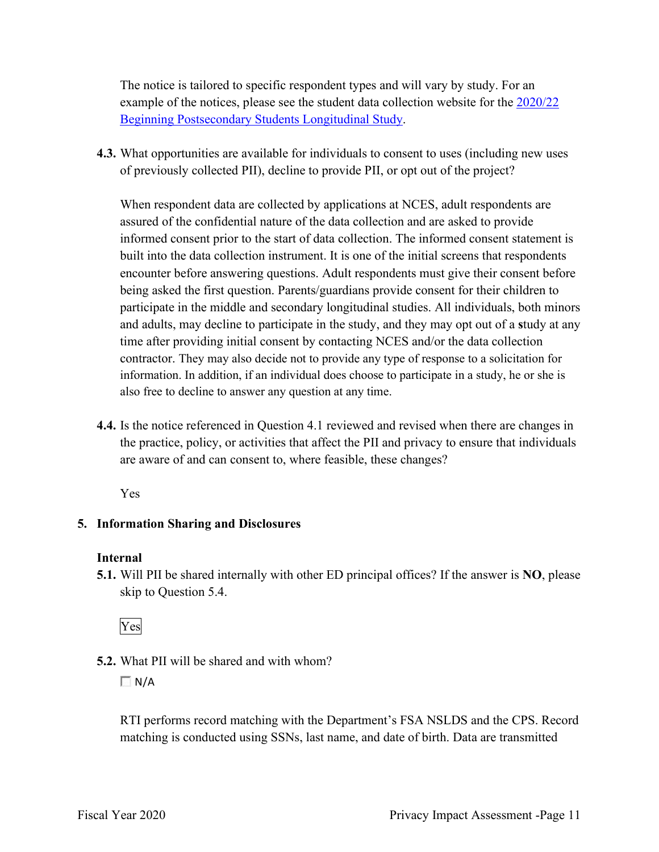The notice is tailored to specific respondent types and will vary by study. For an example of the notices, please see the student data collection website for the 2020/22 Beginning Postsecondary Students Longitudinal Study.

**4.3.** What opportunities are available for individuals to consent to uses (including new uses of previously collected PII), decline to provide PII, or opt out of the project?

 informed consent prior to the start of data collection. The informed consent statement is When respondent data are collected by applications at NCES, adult respondents are assured of the confidential nature of the data collection and are asked to provide built into the data collection instrument. It is one of the initial screens that respondents encounter before answering questions. Adult respondents must give their consent before being asked the first question. Parents/guardians provide consent for their children to participate in the middle and secondary longitudinal studies. All individuals, both minors and adults, may decline to participate in the study, and they may opt out of a **s**tudy at any time after providing initial consent by contacting NCES and/or the data collection contractor. They may also decide not to provide any type of response to a solicitation for information. In addition, if an individual does choose to participate in a study, he or she is also free to decline to answer any question at any time.

 are aware of and can consent to, where feasible, these changes? **4.4.** Is the notice referenced in Question 4.1 reviewed and revised when there are changes in the practice, policy, or activities that affect the PII and privacy to ensure that individuals

Yes

# **5. Information Sharing and Disclosures**

# **Internal**

 **5.1.** Will PII be shared internally with other ED principal offices? If the answer is **NO**, please skip to Question 5.4.

Yes

**5.2.** What PII will be shared and with whom?

 $\Box$  N/A

RTI performs record matching with the Department's FSA NSLDS and the CPS. Record matching is conducted using SSNs, last name, and date of birth. Data are transmitted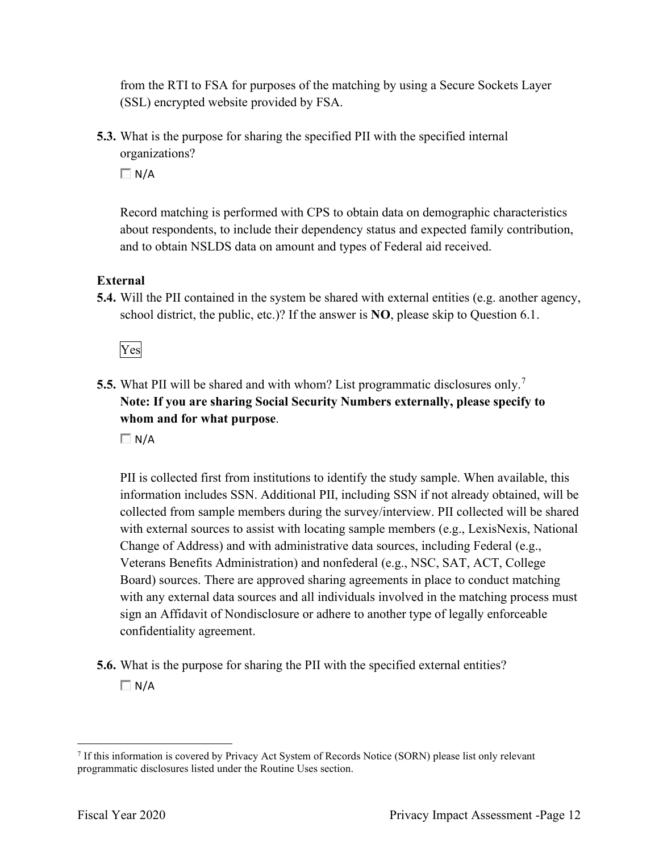from the RTI to FSA for purposes of the matching by using a Secure Sockets Layer (SSL) encrypted website provided by FSA.

 organizations? **5.3.** What is the purpose for sharing the specified PII with the specified internal

 $\Box$  N/A

Record matching is performed with CPS to obtain data on demographic characteristics about respondents, to include their dependency status and expected family contribution, and to obtain NSLDS data on amount and types of Federal aid received.

# **External**

**5.4.** Will the PII contained in the system be shared with external entities (e.g. another agency, school district, the public, etc.)? If the answer is **NO**, please skip to Question 6.1.

Yes

**5.5.** What PII will be shared and with whom? List programmatic disclosures only.<sup>7</sup> **Note: If you are sharing Social Security Numbers externally, please specify to whom and for what purpose**.

 $\Box N/A$ 

 confidentiality agreement. PII is collected first from institutions to identify the study sample. When available, this information includes SSN. Additional PII, including SSN if not already obtained, will be collected from sample members during the survey/interview. PII collected will be shared with external sources to assist with locating sample members (e.g., LexisNexis, National Change of Address) and with administrative data sources, including Federal (e.g., Veterans Benefits Administration) and nonfederal (e.g., NSC, SAT, ACT, College Board) sources. There are approved sharing agreements in place to conduct matching with any external data sources and all individuals involved in the matching process must sign an Affidavit of Nondisclosure or adhere to another type of legally enforceable

**5.6.** What is the purpose for sharing the PII with the specified external entities?  $\Box$  N/A

<sup>7</sup> If this information is covered by Privacy Act System of Records Notice (SORN) please list only relevant programmatic disclosures listed under the Routine Uses section.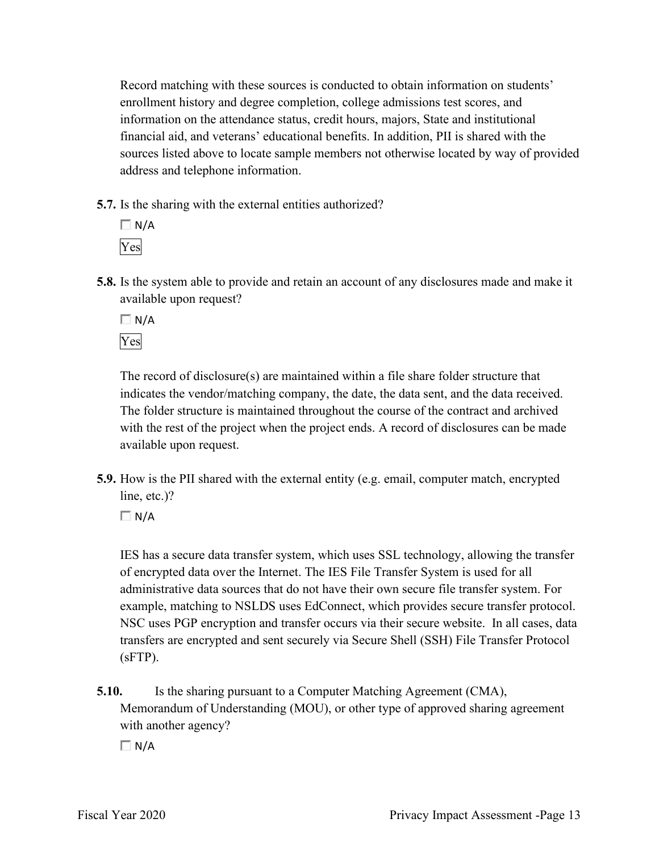financial aid, and veterans' educational benefits. In addition, PII is shared with the Record matching with these sources is conducted to obtain information on students' enrollment history and degree completion, college admissions test scores, and information on the attendance status, credit hours, majors, State and institutional sources listed above to locate sample members not otherwise located by way of provided address and telephone information.

**5.7.** Is the sharing with the external entities authorized?



**5.8.** Is the system able to provide and retain an account of any disclosures made and make it available upon request?

 $\Box$  N/A Yes

 with the rest of the project when the project ends. A record of disclosures can be made The record of disclosure(s) are maintained within a file share folder structure that indicates the vendor/matching company, the date, the data sent, and the data received. The folder structure is maintained throughout the course of the contract and archived available upon request.

 **5.9.** How is the PII shared with the external entity (e.g. email, computer match, encrypted line, etc.)?

 $\Box$  N/A

 transfers are encrypted and sent securely via Secure Shell (SSH) File Transfer Protocol IES has a secure data transfer system, which uses SSL technology, allowing the transfer of encrypted data over the Internet. The IES File Transfer System is used for all administrative data sources that do not have their own secure file transfer system. For example, matching to NSLDS uses EdConnect, which provides secure transfer protocol. NSC uses PGP encryption and transfer occurs via their secure website. In all cases, data (sFTP).

**5.10.** Is the sharing pursuant to a Computer Matching Agreement (CMA), Memorandum of Understanding (MOU), or other type of approved sharing agreement with another agency?

 $\Box$  N/A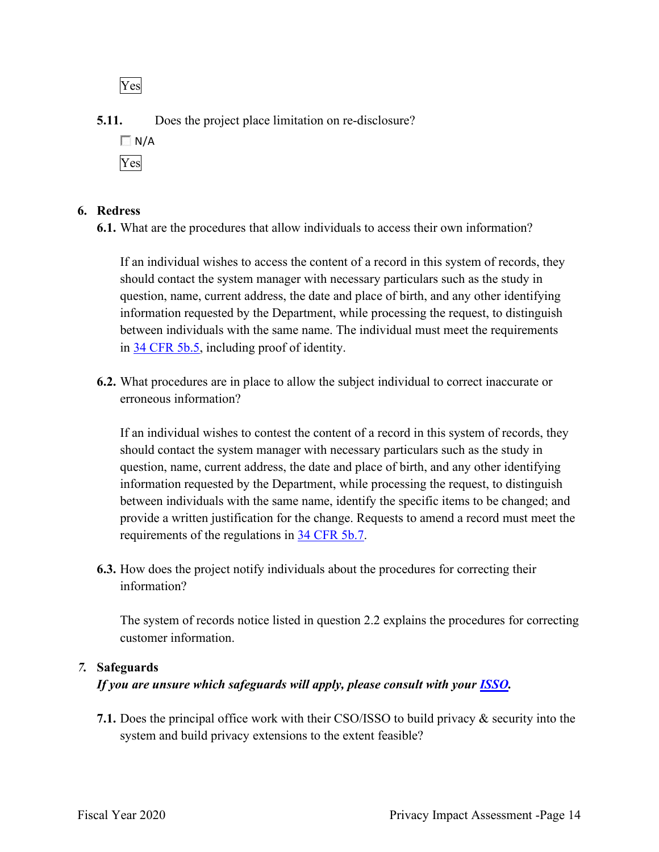Yes

**5.11.** Does the project place limitation on re-disclosure?



# **6. Redress**

**6.1.** What are the procedures that allow individuals to access their own information?

in 34 CFR 5b.5, including proof of identity. If an individual wishes to access the content of a record in this system of records, they should contact the system manager with necessary particulars such as the study in question, name, current address, the date and place of birth, and any other identifying information requested by the Department, while processing the request, to distinguish between individuals with the same name. The individual must meet the requirements

**6.2.** What procedures are in place to allow the subject individual to correct inaccurate or erroneous information?

requirements of the regulations in 34 CFR 5b.7. If an individual wishes to contest the content of a record in this system of records, they should contact the system manager with necessary particulars such as the study in question, name, current address, the date and place of birth, and any other identifying information requested by the Department, while processing the request, to distinguish between individuals with the same name, identify the specific items to be changed; and provide a written justification for the change. Requests to amend a record must meet the

**6.3.** How does the project notify individuals about the procedures for correcting their information?

 customer information. The system of records notice listed in question 2.2 explains the procedures for correcting

# *7.* **Safeguards**

# *If you are unsure which safeguards will apply, please consult with your ISSO.*

 system and build privacy extensions to the extent feasible? **7.1.** Does the principal office work with their CSO/ISSO to build privacy & security into the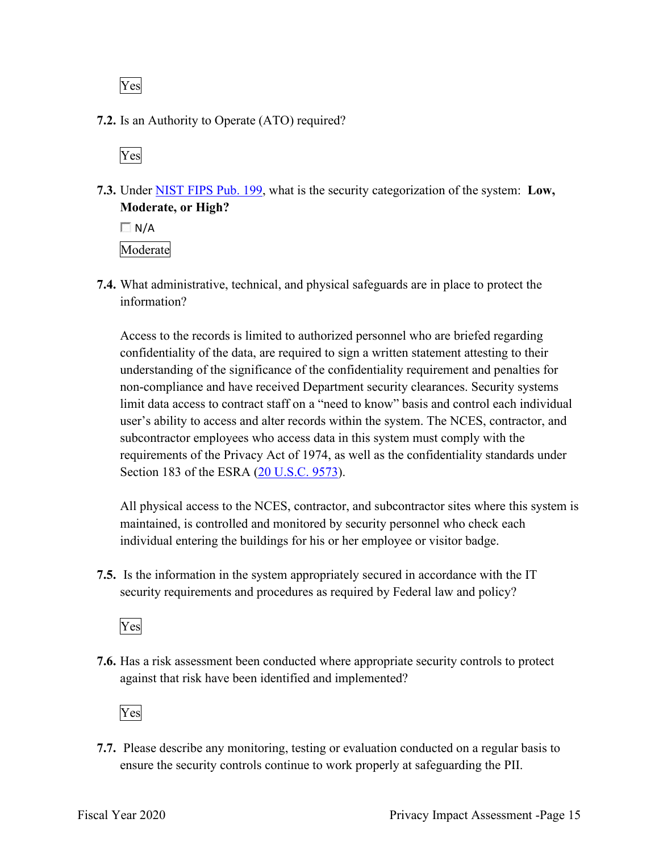Yes

**7.2.** Is an Authority to Operate (ATO) required?

Yes

**7.3.** Under NIST FIPS Pub. 199, what is the security categorization of the system: **Low, Moderate, or High?** 

 $\Box$  N/A Moderate

**7.4.** What administrative, technical, and physical safeguards are in place to protect the information?

 subcontractor employees who access data in this system must comply with the Access to the records is limited to authorized personnel who are briefed regarding confidentiality of the data, are required to sign a written statement attesting to their understanding of the significance of the confidentiality requirement and penalties for non-compliance and have received Department security clearances. Security systems limit data access to contract staff on a "need to know" basis and control each individual user's ability to access and alter records within the system. The NCES, contractor, and requirements of the Privacy Act of 1974, as well as the confidentiality standards under Section 183 of the ESRA (20 U.S.C. 9573).

All physical access to the NCES, contractor, and subcontractor sites where this system is maintained, is controlled and monitored by security personnel who check each individual entering the buildings for his or her employee or visitor badge.

 **7.5.** Is the information in the system appropriately secured in accordance with the IT security requirements and procedures as required by Federal law and policy?

Yes

**7.6.** Has a risk assessment been conducted where appropriate security controls to protect against that risk have been identified and implemented?

Yes

 ensure the security controls continue to work properly at safeguarding the PII. **7.7.** Please describe any monitoring, testing or evaluation conducted on a regular basis to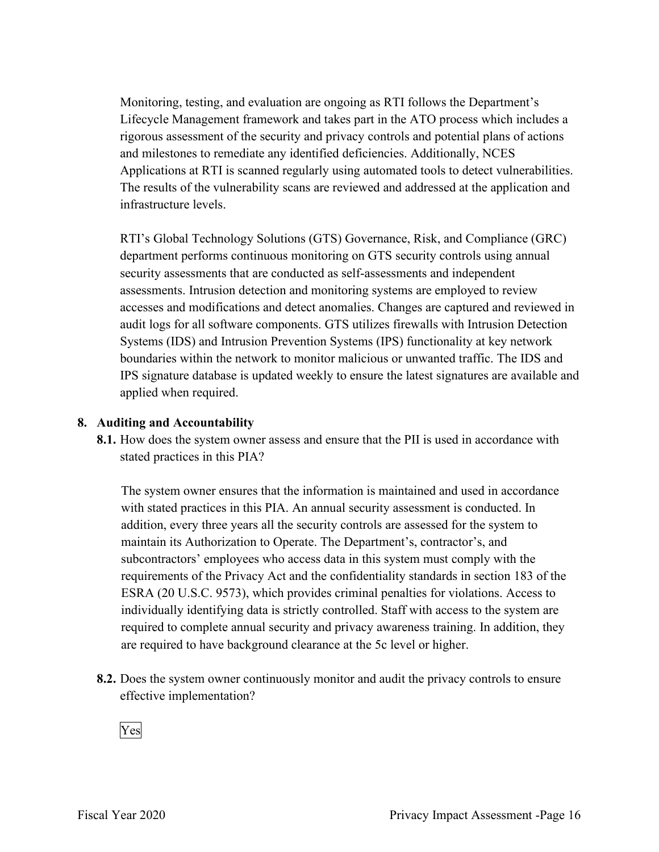Monitoring, testing, and evaluation are ongoing as RTI follows the Department's Applications at RTI is scanned regularly using automated tools to detect vulnerabilities. Lifecycle Management framework and takes part in the ATO process which includes a rigorous assessment of the security and privacy controls and potential plans of actions and milestones to remediate any identified deficiencies. Additionally, NCES The results of the vulnerability scans are reviewed and addressed at the application and infrastructure levels.

RTI's Global Technology Solutions (GTS) Governance, Risk, and Compliance (GRC) department performs continuous monitoring on GTS security controls using annual security assessments that are conducted as self-assessments and independent assessments. Intrusion detection and monitoring systems are employed to review accesses and modifications and detect anomalies. Changes are captured and reviewed in audit logs for all software components. GTS utilizes firewalls with Intrusion Detection Systems (IDS) and Intrusion Prevention Systems (IPS) functionality at key network boundaries within the network to monitor malicious or unwanted traffic. The IDS and IPS signature database is updated weekly to ensure the latest signatures are available and applied when required.

#### **8. Auditing and Accountability**

 **8.1.** How does the system owner assess and ensure that the PII is used in accordance with stated practices in this PIA?

 individually identifying data is strictly controlled. Staff with access to the system are The system owner ensures that the information is maintained and used in accordance with stated practices in this PIA. An annual security assessment is conducted. In addition, every three years all the security controls are assessed for the system to maintain its Authorization to Operate. The Department's, contractor's, and subcontractors' employees who access data in this system must comply with the requirements of the Privacy Act and the confidentiality standards in section 183 of the ESRA (20 U.S.C. 9573), which provides criminal penalties for violations. Access to required to complete annual security and privacy awareness training. In addition, they are required to have background clearance at the 5c level or higher.

 **8.2.** Does the system owner continuously monitor and audit the privacy controls to ensure effective implementation?